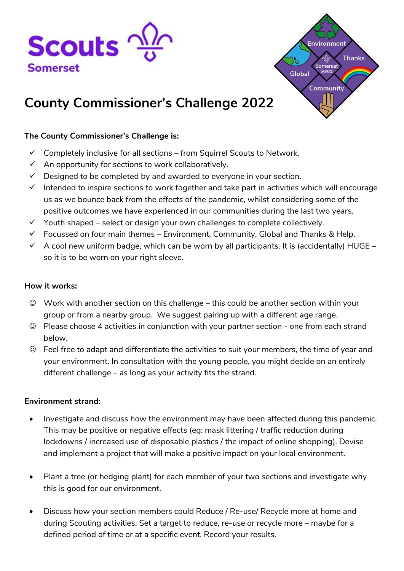



# **County Commissioner's Challenge 2022**

## **The County Commissioner's Challenge is:**

- $\checkmark$  Completely inclusive for all sections from Squirrel Scouts to Network.
- $\checkmark$  An opportunity for sections to work collaboratively.
- $\checkmark$  Designed to be completed by and awarded to everyone in your section.
- $\checkmark$  Intended to inspire sections to work together and take part in activities which will encourage us as we bounce back from the effects of the pandemic, whilst considering some of the positive outcomes we have experienced in our communities during the last two years.
- $\checkmark$  Youth shaped select or design your own challenges to complete collectively.
- $\checkmark$  Focussed on four main themes Environment, Community, Global and Thanks & Help.
- $\checkmark$  A cool new uniform badge, which can be worn by all participants. It is (accidentally) HUGE so it is to be worn on your right sleeve.

#### **How it works:**

- ☺ Work with another section on this challenge this could be another section within your group or from a nearby group. We suggest pairing up with a different age range.
- ☺ Please choose 4 activities in conjunction with your partner section one from each strand below.
- ☺ Feel free to adapt and differentiate the activities to suit your members, the time of year and your environment. In consultation with the young people, you might decide on an entirely different challenge – as long as your activity fits the strand.

#### **Environment strand:**

- Investigate and discuss how the environment may have been affected during this pandemic. This may be positive or negative effects (eg: mask littering / traffic reduction during lockdowns / increased use of disposable plastics / the impact of online shopping). Devise and implement a project that will make a positive impact on your local environment.
- Plant a tree (or hedging plant) for each member of your two sections and investigate why this is good for our environment.
- Discuss how your section members could Reduce / Re-use/ Recycle more at home and during Scouting activities. Set a target to reduce, re-use or recycle more – maybe for a defined period of time or at a specific event. Record your results.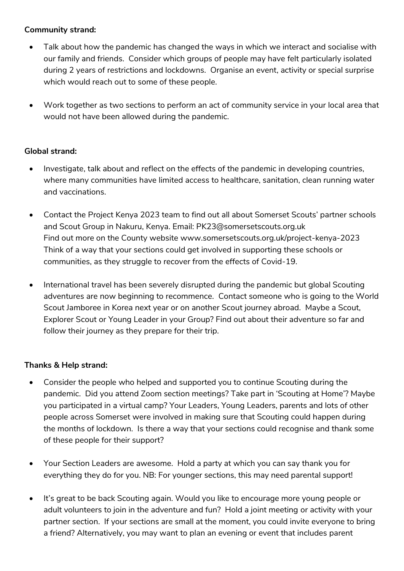### **Community strand:**

- Talk about how the pandemic has changed the ways in which we interact and socialise with our family and friends. Consider which groups of people may have felt particularly isolated during 2 years of restrictions and lockdowns. Organise an event, activity or special surprise which would reach out to some of these people.
- Work together as two sections to perform an act of community service in your local area that would not have been allowed during the pandemic.

### **Global strand:**

- Investigate, talk about and reflect on the effects of the pandemic in developing countries, where many communities have limited access to healthcare, sanitation, clean running water and vaccinations.
- Contact the Project Kenya 2023 team to find out all about Somerset Scouts' partner schools and Scout Group in Nakuru, Kenya. Email: PK23@somersetscouts.org.uk Find out more on the County website [www.somersetscouts.org.uk/project-kenya-2023](http://www.somersetscouts.org.uk/project-kenya-2023) Think of a way that your sections could get involved in supporting these schools or communities, as they struggle to recover from the effects of Covid-19.
- International travel has been severely disrupted during the pandemic but global Scouting adventures are now beginning to recommence. Contact someone who is going to the World Scout Jamboree in Korea next year or on another Scout journey abroad. Maybe a Scout, Explorer Scout or Young Leader in your Group? Find out about their adventure so far and follow their journey as they prepare for their trip.

# **Thanks & Help strand:**

- Consider the people who helped and supported you to continue Scouting during the pandemic. Did you attend Zoom section meetings? Take part in 'Scouting at Home'? Maybe you participated in a virtual camp? Your Leaders, Young Leaders, parents and lots of other people across Somerset were involved in making sure that Scouting could happen during the months of lockdown. Is there a way that your sections could recognise and thank some of these people for their support?
- Your Section Leaders are awesome. Hold a party at which you can say thank you for everything they do for you. NB: For younger sections, this may need parental support!
- It's great to be back Scouting again. Would you like to encourage more young people or adult volunteers to join in the adventure and fun? Hold a joint meeting or activity with your partner section. If your sections are small at the moment, you could invite everyone to bring a friend? Alternatively, you may want to plan an evening or event that includes parent